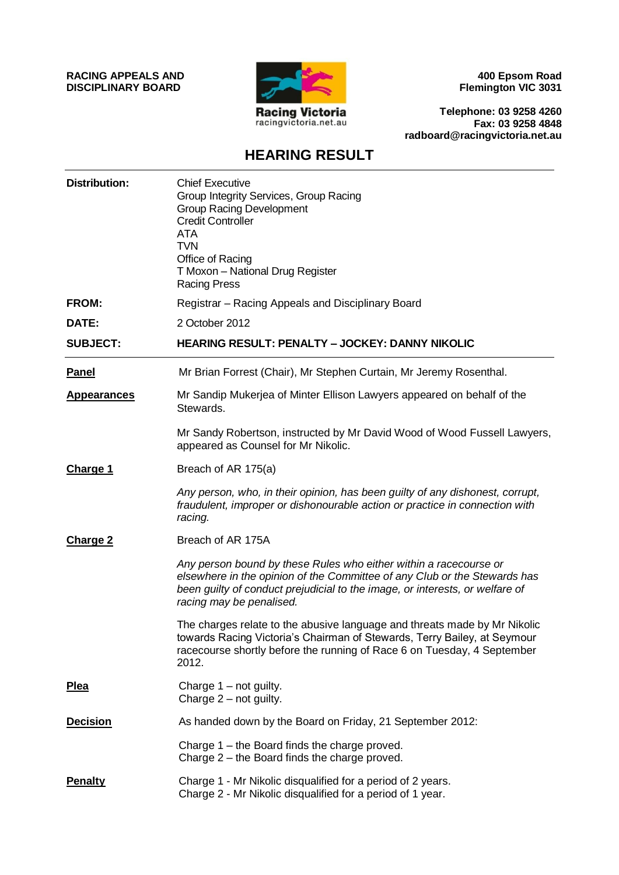**RACING APPEALS AND DISCIPLINARY BOARD**



**400 Epsom Road Flemington VIC 3031**

**Telephone: 03 9258 4260 Fax: 03 9258 4848 radboard@racingvictoria.net.au**

## **HEARING RESULT**

| <b>Distribution:</b> | <b>Chief Executive</b><br>Group Integrity Services, Group Racing<br><b>Group Racing Development</b><br><b>Credit Controller</b><br><b>ATA</b><br><b>TVN</b><br>Office of Racing<br>T Moxon - National Drug Register<br><b>Racing Press</b>                 |
|----------------------|------------------------------------------------------------------------------------------------------------------------------------------------------------------------------------------------------------------------------------------------------------|
| <b>FROM:</b>         | Registrar - Racing Appeals and Disciplinary Board                                                                                                                                                                                                          |
| DATE:                | 2 October 2012                                                                                                                                                                                                                                             |
| <b>SUBJECT:</b>      | <b>HEARING RESULT: PENALTY - JOCKEY: DANNY NIKOLIC</b>                                                                                                                                                                                                     |
| <b>Panel</b>         | Mr Brian Forrest (Chair), Mr Stephen Curtain, Mr Jeremy Rosenthal.                                                                                                                                                                                         |
| <b>Appearances</b>   | Mr Sandip Mukerjea of Minter Ellison Lawyers appeared on behalf of the<br>Stewards.                                                                                                                                                                        |
|                      | Mr Sandy Robertson, instructed by Mr David Wood of Wood Fussell Lawyers,<br>appeared as Counsel for Mr Nikolic.                                                                                                                                            |
| <b>Charge 1</b>      | Breach of AR 175(a)                                                                                                                                                                                                                                        |
|                      | Any person, who, in their opinion, has been guilty of any dishonest, corrupt,<br>fraudulent, improper or dishonourable action or practice in connection with<br>racing.                                                                                    |
| <b>Charge 2</b>      | Breach of AR 175A                                                                                                                                                                                                                                          |
|                      | Any person bound by these Rules who either within a racecourse or<br>elsewhere in the opinion of the Committee of any Club or the Stewards has<br>been guilty of conduct prejudicial to the image, or interests, or welfare of<br>racing may be penalised. |
|                      | The charges relate to the abusive language and threats made by Mr Nikolic<br>towards Racing Victoria's Chairman of Stewards, Terry Bailey, at Seymour<br>racecourse shortly before the running of Race 6 on Tuesday, 4 September<br>2012.                  |
| <b>Plea</b>          | Charge $1 - not$ guilty.<br>Charge $2$ – not guilty.                                                                                                                                                                                                       |
| <b>Decision</b>      | As handed down by the Board on Friday, 21 September 2012:                                                                                                                                                                                                  |
|                      | Charge 1 – the Board finds the charge proved.<br>Charge 2 – the Board finds the charge proved.                                                                                                                                                             |
| <b>Penalty</b>       | Charge 1 - Mr Nikolic disqualified for a period of 2 years.<br>Charge 2 - Mr Nikolic disqualified for a period of 1 year.                                                                                                                                  |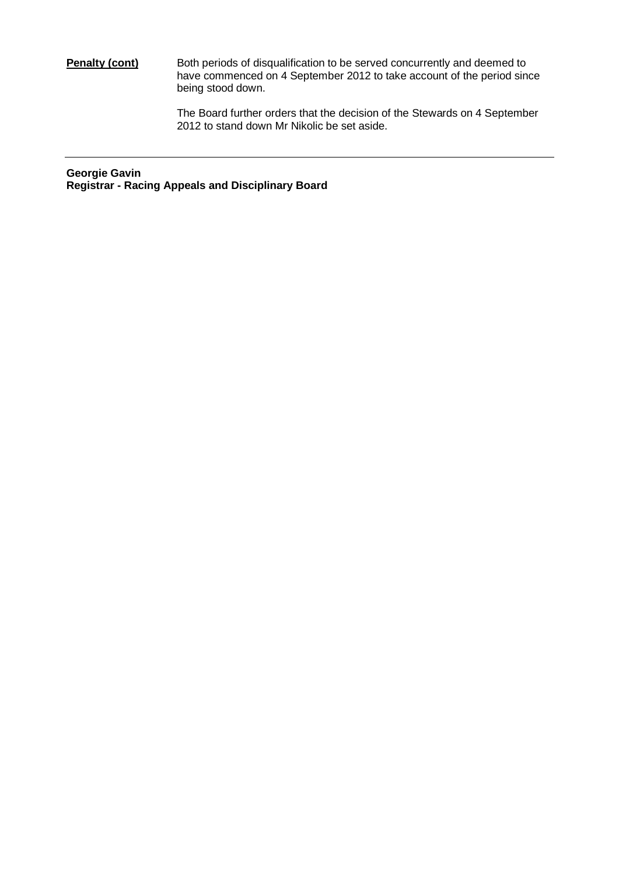## **Penalty (cont)** Both periods of disqualification to be served concurrently and deemed to have commenced on 4 September 2012 to take account of the period since being stood down.

The Board further orders that the decision of the Stewards on 4 September 2012 to stand down Mr Nikolic be set aside.

**Georgie Gavin Registrar - Racing Appeals and Disciplinary Board**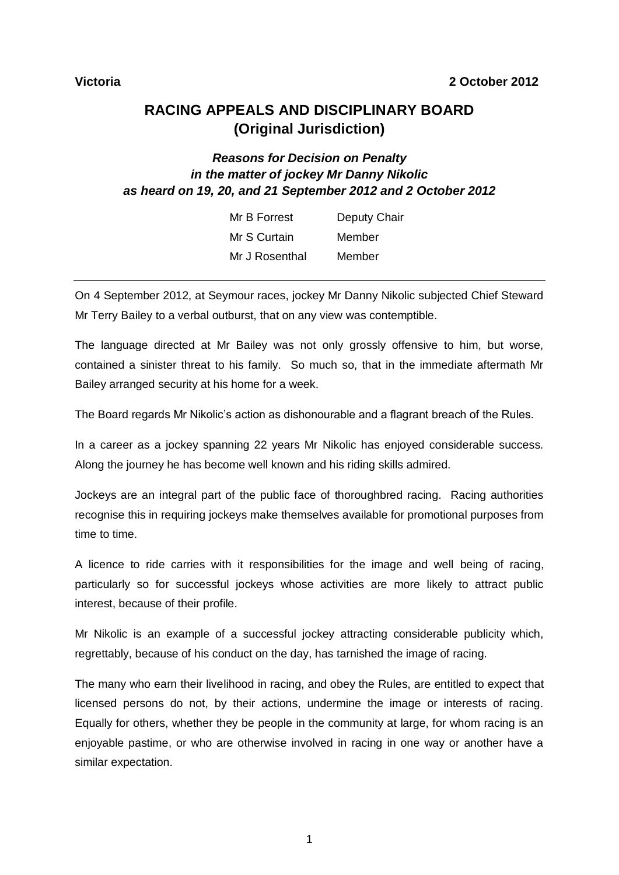## **RACING APPEALS AND DISCIPLINARY BOARD (Original Jurisdiction)**

## *Reasons for Decision on Penalty in the matter of jockey Mr Danny Nikolic as heard on 19, 20, and 21 September 2012 and 2 October 2012*

| Mr B Forrest   | <b>Deputy Chair</b> |
|----------------|---------------------|
| Mr S Curtain   | Member              |
| Mr J Rosenthal | Member              |

On 4 September 2012, at Seymour races, jockey Mr Danny Nikolic subjected Chief Steward Mr Terry Bailey to a verbal outburst, that on any view was contemptible.

The language directed at Mr Bailey was not only grossly offensive to him, but worse, contained a sinister threat to his family. So much so, that in the immediate aftermath Mr Bailey arranged security at his home for a week.

The Board regards Mr Nikolic's action as dishonourable and a flagrant breach of the Rules.

In a career as a jockey spanning 22 years Mr Nikolic has enjoyed considerable success. Along the journey he has become well known and his riding skills admired.

Jockeys are an integral part of the public face of thoroughbred racing. Racing authorities recognise this in requiring jockeys make themselves available for promotional purposes from time to time.

A licence to ride carries with it responsibilities for the image and well being of racing, particularly so for successful jockeys whose activities are more likely to attract public interest, because of their profile.

Mr Nikolic is an example of a successful jockey attracting considerable publicity which, regrettably, because of his conduct on the day, has tarnished the image of racing.

The many who earn their livelihood in racing, and obey the Rules, are entitled to expect that licensed persons do not, by their actions, undermine the image or interests of racing. Equally for others, whether they be people in the community at large, for whom racing is an enjoyable pastime, or who are otherwise involved in racing in one way or another have a similar expectation.